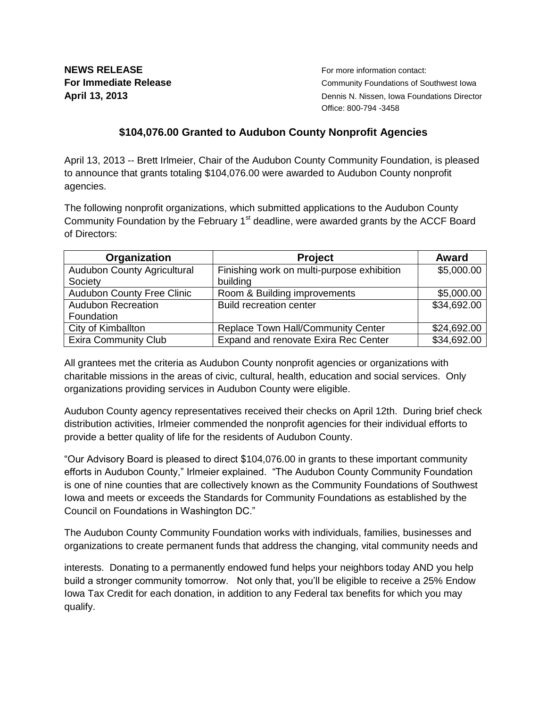**NEWS RELEASE NEWS RELEASE For more information contact:** 

**For Immediate Release Community Foundations of Southwest Iowa April 13, 2013** Dennis N. Nissen, Iowa Foundations Director Office: 800-794 -3458

## **\$104,076.00 Granted to Audubon County Nonprofit Agencies**

April 13, 2013 -- Brett Irlmeier, Chair of the Audubon County Community Foundation, is pleased to announce that grants totaling \$104,076.00 were awarded to Audubon County nonprofit agencies.

The following nonprofit organizations, which submitted applications to the Audubon County Community Foundation by the February  $1<sup>st</sup>$  deadline, were awarded grants by the ACCF Board of Directors:

| Organization                      | <b>Project</b>                             | <b>Award</b> |
|-----------------------------------|--------------------------------------------|--------------|
| Audubon County Agricultural       | Finishing work on multi-purpose exhibition | \$5,000.00   |
| Society                           | building                                   |              |
| <b>Audubon County Free Clinic</b> | Room & Building improvements               | \$5,000.00   |
| <b>Audubon Recreation</b>         | <b>Build recreation center</b>             | \$34,692.00  |
| Foundation                        |                                            |              |
| City of Kimballton                | Replace Town Hall/Community Center         | \$24,692.00  |
| <b>Exira Community Club</b>       | Expand and renovate Exira Rec Center       | \$34,692.00  |

All grantees met the criteria as Audubon County nonprofit agencies or organizations with charitable missions in the areas of civic, cultural, health, education and social services. Only organizations providing services in Audubon County were eligible.

Audubon County agency representatives received their checks on April 12th. During brief check distribution activities, Irlmeier commended the nonprofit agencies for their individual efforts to provide a better quality of life for the residents of Audubon County.

"Our Advisory Board is pleased to direct \$104,076.00 in grants to these important community efforts in Audubon County," Irlmeier explained. "The Audubon County Community Foundation is one of nine counties that are collectively known as the Community Foundations of Southwest Iowa and meets or exceeds the Standards for Community Foundations as established by the Council on Foundations in Washington DC."

The Audubon County Community Foundation works with individuals, families, businesses and organizations to create permanent funds that address the changing, vital community needs and

interests. Donating to a permanently endowed fund helps your neighbors today AND you help build a stronger community tomorrow. Not only that, you'll be eligible to receive a 25% Endow Iowa Tax Credit for each donation, in addition to any Federal tax benefits for which you may qualify.